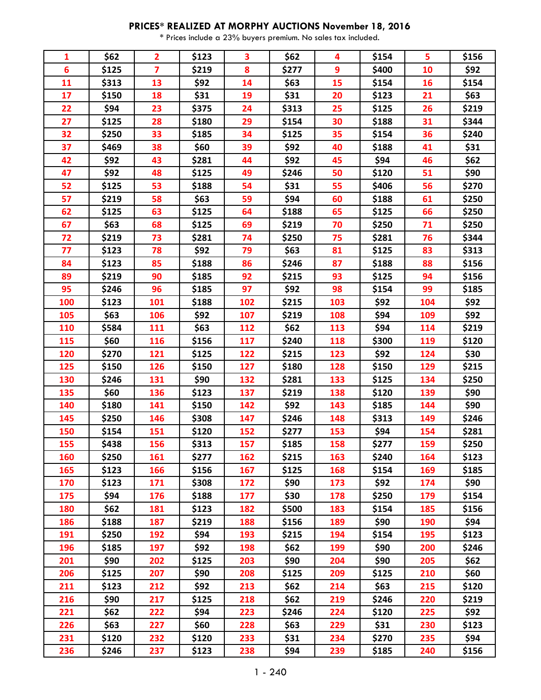## **PRICES\* REALIZED AT MORPHY AUCTIONS November 18, 2016**

\* Prices include a 23% buyers premium. No sales tax included.

| 1   | \$62  | $\overline{2}$          | \$123 | 3   | \$62  | 4   | \$154 | 5   | \$156 |
|-----|-------|-------------------------|-------|-----|-------|-----|-------|-----|-------|
| 6   | \$125 | $\overline{\mathbf{z}}$ | \$219 | 8   | \$277 | 9   | \$400 | 10  | \$92  |
| 11  | \$313 | 13                      | \$92  | 14  | \$63  | 15  | \$154 | 16  | \$154 |
| 17  | \$150 | 18                      | \$31  | 19  | \$31  | 20  | \$123 | 21  | \$63  |
| 22  | \$94  | 23                      | \$375 | 24  | \$313 | 25  | \$125 | 26  | \$219 |
| 27  | \$125 | 28                      | \$180 | 29  | \$154 | 30  | \$188 | 31  | \$344 |
| 32  | \$250 | 33                      | \$185 | 34  | \$125 | 35  | \$154 | 36  | \$240 |
| 37  | \$469 | 38                      | \$60  | 39  | \$92  | 40  | \$188 | 41  | \$31  |
| 42  | \$92  | 43                      | \$281 | 44  | \$92  | 45  | \$94  | 46  | \$62  |
| 47  | \$92  | 48                      | \$125 | 49  | \$246 | 50  | \$120 | 51  | \$90  |
| 52  | \$125 | 53                      | \$188 | 54  | \$31  | 55  | \$406 | 56  | \$270 |
| 57  | \$219 | 58                      | \$63  | 59  | \$94  | 60  | \$188 | 61  | \$250 |
| 62  | \$125 | 63                      | \$125 | 64  | \$188 | 65  | \$125 | 66  | \$250 |
| 67  | \$63  | 68                      | \$125 | 69  | \$219 | 70  | \$250 | 71  | \$250 |
| 72  | \$219 | 73                      | \$281 | 74  | \$250 | 75  | \$281 | 76  | \$344 |
| 77  | \$123 | 78                      | \$92  | 79  | \$63  | 81  | \$125 | 83  | \$313 |
| 84  | \$123 | 85                      | \$188 | 86  | \$246 | 87  | \$188 | 88  | \$156 |
| 89  | \$219 | 90                      | \$185 | 92  | \$215 | 93  | \$125 | 94  | \$156 |
| 95  | \$246 | 96                      | \$185 | 97  | \$92  | 98  | \$154 | 99  | \$185 |
| 100 | \$123 | <b>101</b>              | \$188 | 102 | \$215 | 103 | \$92  | 104 | \$92  |
| 105 | \$63  | 106                     | \$92  | 107 | \$219 | 108 | \$94  | 109 | \$92  |
| 110 | \$584 | <b>111</b>              | \$63  | 112 | \$62  | 113 | \$94  | 114 | \$219 |
| 115 | \$60  | 116                     | \$156 | 117 | \$240 | 118 | \$300 | 119 | \$120 |
| 120 | \$270 | 121                     | \$125 | 122 | \$215 | 123 | \$92  | 124 | \$30  |
| 125 | \$150 | 126                     | \$150 | 127 | \$180 | 128 | \$150 | 129 | \$215 |
| 130 | \$246 | 131                     | \$90  | 132 | \$281 | 133 | \$125 | 134 | \$250 |
| 135 | \$60  | 136                     | \$123 | 137 | \$219 | 138 | \$120 | 139 | \$90  |
| 140 | \$180 | 141                     | \$150 | 142 | \$92  | 143 | \$185 | 144 | \$90  |
| 145 | \$250 | 146                     | \$308 | 147 | \$246 | 148 | \$313 | 149 | \$246 |
| 150 | \$154 | 151                     | \$120 | 152 | \$277 | 153 | \$94  | 154 | \$281 |
| 155 | \$438 | 156                     | \$313 | 157 | \$185 | 158 | \$277 | 159 | \$250 |
| 160 | \$250 | 161                     | \$277 | 162 | \$215 | 163 | \$240 | 164 | \$123 |
| 165 | \$123 | 166                     | \$156 | 167 | \$125 | 168 | \$154 | 169 | \$185 |
| 170 | \$123 | 171                     | \$308 | 172 | \$90  | 173 | \$92  | 174 | \$90  |
| 175 | \$94  | 176                     | \$188 | 177 | \$30  | 178 | \$250 | 179 | \$154 |
| 180 | \$62  | 181                     | \$123 | 182 | \$500 | 183 | \$154 | 185 | \$156 |
| 186 | \$188 | 187                     | \$219 | 188 | \$156 | 189 | \$90  | 190 | \$94  |
| 191 | \$250 | 192                     | \$94  | 193 | \$215 | 194 | \$154 | 195 | \$123 |
| 196 | \$185 | 197                     | \$92  | 198 | \$62  | 199 | \$90  | 200 | \$246 |
| 201 | \$90  | 202                     | \$125 | 203 | \$90  | 204 | \$90  | 205 | \$62  |
| 206 | \$125 | 207                     | \$90  | 208 | \$125 | 209 | \$125 | 210 | \$60  |
| 211 | \$123 | 212                     | \$92  | 213 | \$62  | 214 | \$63  | 215 | \$120 |
| 216 | \$90  | 217                     | \$125 | 218 | \$62  | 219 | \$246 | 220 | \$219 |
| 221 | \$62  | 222                     | \$94  | 223 | \$246 | 224 | \$120 | 225 | \$92  |
| 226 | \$63  | 227                     | \$60  | 228 | \$63  | 229 | \$31  | 230 | \$123 |
| 231 | \$120 | 232                     | \$120 | 233 | \$31  | 234 | \$270 | 235 | \$94  |
| 236 | \$246 | 237                     | \$123 | 238 | \$94  | 239 | \$185 | 240 | \$156 |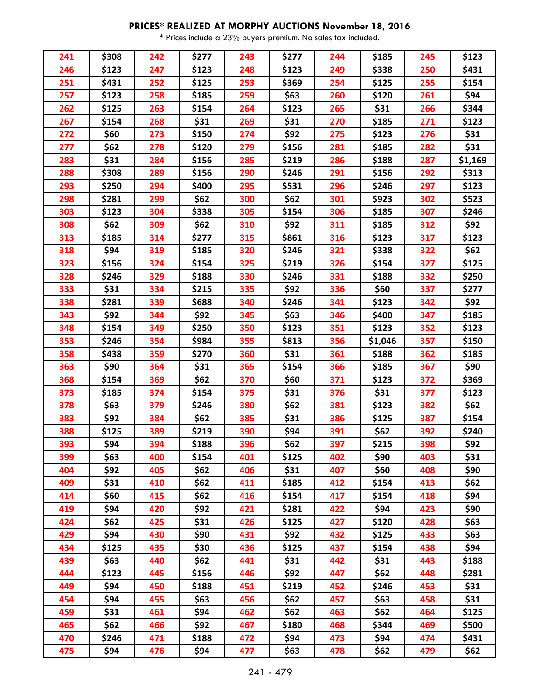## **PRICES\* REALIZED AT MORPHY AUCTIONS November 18, 2016**

\* Prices include a 23% buyers premium. No sales tax included.

| 241 | \$308 | 242 | \$277 | 243 | \$277 | 244 | \$185   | 245 | \$123   |
|-----|-------|-----|-------|-----|-------|-----|---------|-----|---------|
| 246 | \$123 | 247 | \$123 | 248 | \$123 | 249 | \$338   | 250 | \$431   |
| 251 | \$431 | 252 | \$125 | 253 | \$369 | 254 | \$125   | 255 | \$154   |
| 257 | \$123 | 258 | \$185 | 259 | \$63  | 260 | \$120   | 261 | \$94    |
| 262 | \$125 | 263 | \$154 | 264 | \$123 | 265 | \$31    | 266 | \$344   |
| 267 | \$154 | 268 | \$31  | 269 | \$31  | 270 | \$185   | 271 | \$123   |
| 272 | \$60  | 273 | \$150 | 274 | \$92  | 275 | \$123   | 276 | \$31    |
| 277 | \$62  | 278 | \$120 | 279 | \$156 | 281 | \$185   | 282 | \$31    |
| 283 | \$31  | 284 | \$156 | 285 | \$219 | 286 | \$188   | 287 | \$1,169 |
| 288 | \$308 | 289 | \$156 | 290 | \$246 | 291 | \$156   | 292 | \$313   |
| 293 | \$250 | 294 | \$400 | 295 | \$531 | 296 | \$246   | 297 | \$123   |
| 298 | \$281 | 299 | \$62  | 300 | \$62  | 301 | \$923   | 302 | \$523   |
| 303 | \$123 | 304 | \$338 | 305 | \$154 | 306 | \$185   | 307 | \$246   |
| 308 | \$62  | 309 | \$62  | 310 | \$92  | 311 | \$185   | 312 | \$92    |
| 313 | \$185 | 314 | \$277 | 315 | \$861 | 316 | \$123   | 317 | \$123   |
| 318 | \$94  | 319 | \$185 | 320 | \$246 | 321 | \$338   | 322 | \$62    |
| 323 | \$156 | 324 | \$154 | 325 | \$219 | 326 | \$154   | 327 | \$125   |
| 328 | \$246 | 329 | \$188 | 330 | \$246 | 331 | \$188   | 332 | \$250   |
| 333 | \$31  | 334 | \$215 | 335 | \$92  | 336 | \$60    | 337 | \$277   |
| 338 | \$281 | 339 | \$688 | 340 | \$246 | 341 | \$123   | 342 | \$92    |
| 343 | \$92  | 344 | \$92  | 345 | \$63  | 346 | \$400   | 347 | \$185   |
| 348 | \$154 | 349 | \$250 | 350 | \$123 | 351 | \$123   | 352 | \$123   |
| 353 | \$246 | 354 | \$984 | 355 | \$813 | 356 | \$1,046 | 357 | \$150   |
| 358 | \$438 | 359 | \$270 | 360 | \$31  | 361 | \$188   | 362 | \$185   |
| 363 | \$90  | 364 | \$31  | 365 | \$154 | 366 | \$185   | 367 | \$90    |
| 368 | \$154 | 369 | \$62  | 370 | \$60  | 371 | \$123   | 372 | \$369   |
| 373 | \$185 | 374 | \$154 | 375 | \$31  | 376 | \$31    | 377 | \$123   |
| 378 | \$63  | 379 | \$246 | 380 | \$62  | 381 | \$123   | 382 | \$62    |
| 383 | \$92  | 384 | \$62  | 385 | \$31  | 386 | \$125   | 387 | \$154   |
| 388 | \$125 | 389 | \$219 | 390 | \$94  | 391 | \$62    | 392 | \$240   |
| 393 | \$94  | 394 | \$188 | 396 | \$62  | 397 | \$215   | 398 | \$92    |
| 399 | \$63  | 400 | \$154 | 401 | \$125 | 402 | \$90    | 403 | \$31    |
| 404 | \$92  | 405 | \$62  | 406 | \$31  | 407 | \$60    | 408 | \$90    |
| 409 | \$31  | 410 | \$62  | 411 | \$185 | 412 | \$154   | 413 | \$62    |
| 414 | \$60  | 415 | \$62  | 416 | \$154 | 417 | \$154   | 418 | \$94    |
| 419 | \$94  | 420 | \$92  | 421 | \$281 | 422 | \$94    | 423 | \$90    |
| 424 | \$62  | 425 | \$31  | 426 | \$125 | 427 | \$120   | 428 | \$63    |
| 429 | \$94  | 430 | \$90  | 431 | \$92  | 432 | \$125   | 433 | \$63    |
| 434 | \$125 | 435 | \$30  | 436 | \$125 | 437 | \$154   | 438 | \$94    |
| 439 | \$63  | 440 | \$62  | 441 | \$31  | 442 | \$31    | 443 | \$188   |
| 444 | \$123 | 445 | \$156 | 446 | \$92  | 447 | \$62    | 448 | \$281   |
| 449 | \$94  | 450 | \$188 | 451 | \$219 | 452 | \$246   | 453 | \$31    |
| 454 | \$94  | 455 | \$63  | 456 | \$62  | 457 | \$63    | 458 | \$31    |
| 459 | \$31  | 461 | \$94  | 462 | \$62  | 463 | \$62    | 464 | \$125   |
| 465 | \$62  | 466 | \$92  | 467 | \$180 | 468 | \$344   | 469 | \$500   |
| 470 | \$246 | 471 | \$188 | 472 | \$94  | 473 | \$94    | 474 | \$431   |
| 475 | \$94  | 476 | \$94  | 477 | \$63  | 478 | \$62    | 479 | \$62    |
|     |       |     |       |     |       |     |         |     |         |